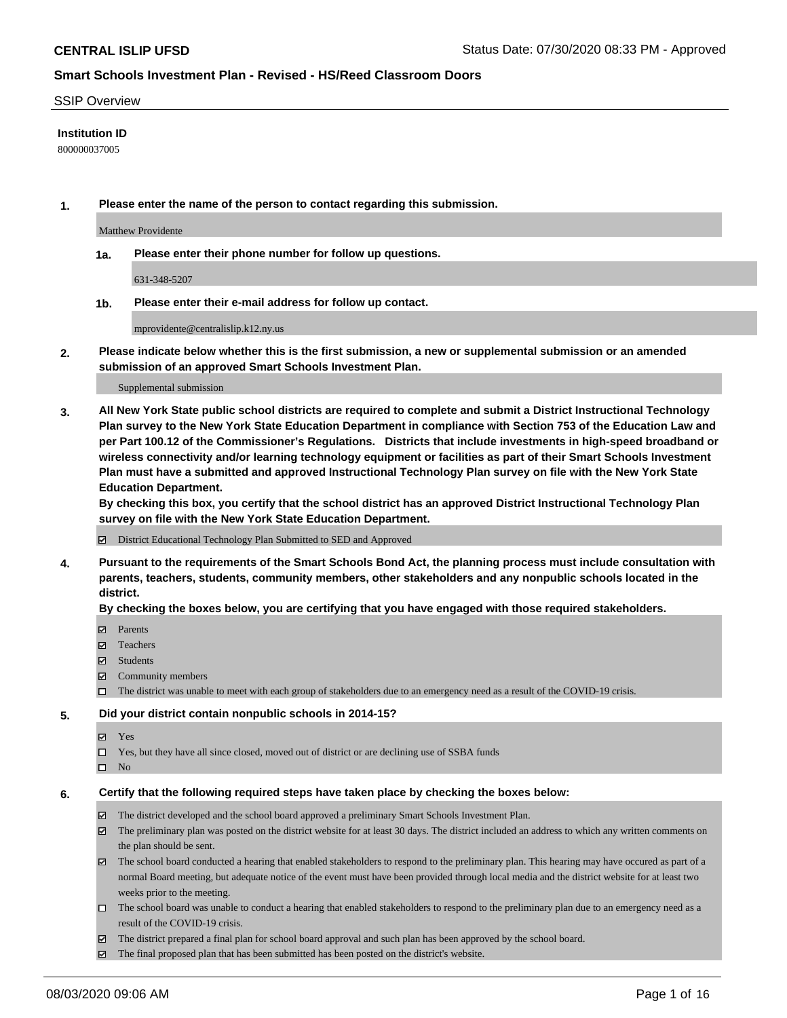#### SSIP Overview

### **Institution ID**

800000037005

**1. Please enter the name of the person to contact regarding this submission.**

Matthew Providente

**1a. Please enter their phone number for follow up questions.**

631-348-5207

**1b. Please enter their e-mail address for follow up contact.**

mprovidente@centralislip.k12.ny.us

**2. Please indicate below whether this is the first submission, a new or supplemental submission or an amended submission of an approved Smart Schools Investment Plan.**

#### Supplemental submission

**3. All New York State public school districts are required to complete and submit a District Instructional Technology Plan survey to the New York State Education Department in compliance with Section 753 of the Education Law and per Part 100.12 of the Commissioner's Regulations. Districts that include investments in high-speed broadband or wireless connectivity and/or learning technology equipment or facilities as part of their Smart Schools Investment Plan must have a submitted and approved Instructional Technology Plan survey on file with the New York State Education Department.** 

**By checking this box, you certify that the school district has an approved District Instructional Technology Plan survey on file with the New York State Education Department.**

District Educational Technology Plan Submitted to SED and Approved

**4. Pursuant to the requirements of the Smart Schools Bond Act, the planning process must include consultation with parents, teachers, students, community members, other stakeholders and any nonpublic schools located in the district.** 

#### **By checking the boxes below, you are certifying that you have engaged with those required stakeholders.**

- **□** Parents
- Teachers
- Students
- $\boxtimes$  Community members
- The district was unable to meet with each group of stakeholders due to an emergency need as a result of the COVID-19 crisis.

#### **5. Did your district contain nonpublic schools in 2014-15?**

- **冈** Yes
- Yes, but they have all since closed, moved out of district or are declining use of SSBA funds
- $\square$  No

#### **6. Certify that the following required steps have taken place by checking the boxes below:**

- The district developed and the school board approved a preliminary Smart Schools Investment Plan.
- $\boxtimes$  The preliminary plan was posted on the district website for at least 30 days. The district included an address to which any written comments on the plan should be sent.
- The school board conducted a hearing that enabled stakeholders to respond to the preliminary plan. This hearing may have occured as part of a normal Board meeting, but adequate notice of the event must have been provided through local media and the district website for at least two weeks prior to the meeting.
- The school board was unable to conduct a hearing that enabled stakeholders to respond to the preliminary plan due to an emergency need as a result of the COVID-19 crisis.
- The district prepared a final plan for school board approval and such plan has been approved by the school board.
- $\boxtimes$  The final proposed plan that has been submitted has been posted on the district's website.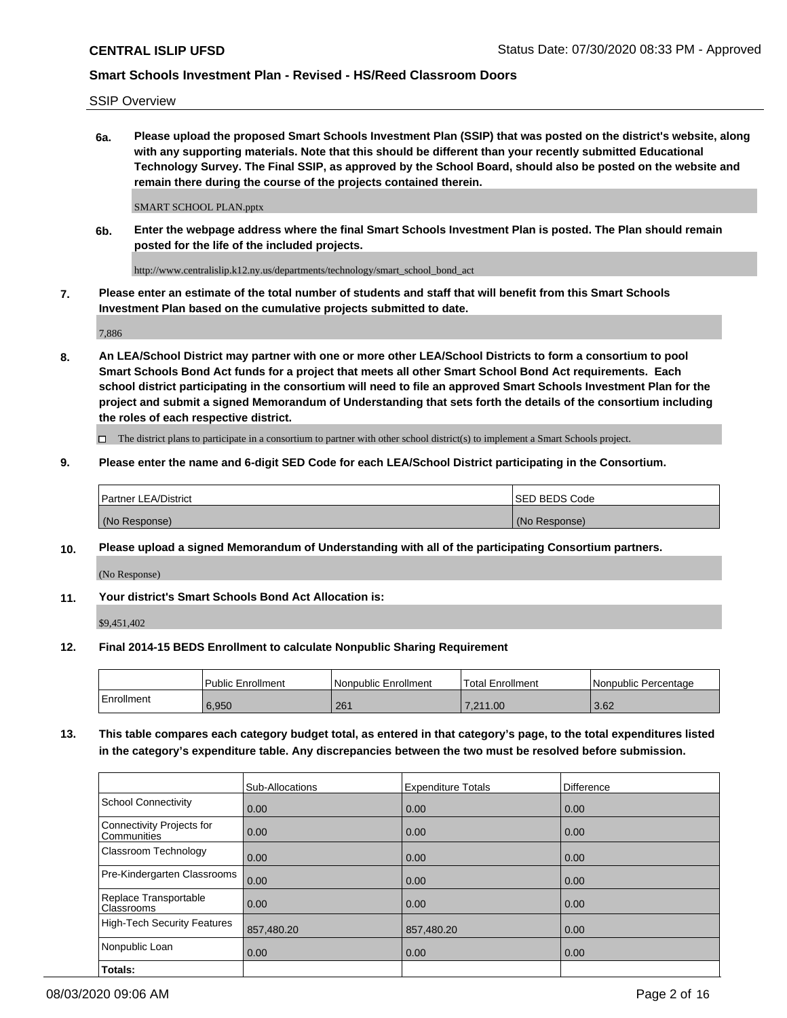SSIP Overview

**6a. Please upload the proposed Smart Schools Investment Plan (SSIP) that was posted on the district's website, along with any supporting materials. Note that this should be different than your recently submitted Educational Technology Survey. The Final SSIP, as approved by the School Board, should also be posted on the website and remain there during the course of the projects contained therein.**

SMART SCHOOL PLAN.pptx

**6b. Enter the webpage address where the final Smart Schools Investment Plan is posted. The Plan should remain posted for the life of the included projects.**

http://www.centralislip.k12.ny.us/departments/technology/smart\_school\_bond\_act

**7. Please enter an estimate of the total number of students and staff that will benefit from this Smart Schools Investment Plan based on the cumulative projects submitted to date.**

7,886

**8. An LEA/School District may partner with one or more other LEA/School Districts to form a consortium to pool Smart Schools Bond Act funds for a project that meets all other Smart School Bond Act requirements. Each school district participating in the consortium will need to file an approved Smart Schools Investment Plan for the project and submit a signed Memorandum of Understanding that sets forth the details of the consortium including the roles of each respective district.**

 $\Box$  The district plans to participate in a consortium to partner with other school district(s) to implement a Smart Schools project.

### **9. Please enter the name and 6-digit SED Code for each LEA/School District participating in the Consortium.**

| <sup>1</sup> Partner LEA/District | <b>ISED BEDS Code</b> |
|-----------------------------------|-----------------------|
| (No Response)                     | (No Response)         |

### **10. Please upload a signed Memorandum of Understanding with all of the participating Consortium partners.**

(No Response)

### **11. Your district's Smart Schools Bond Act Allocation is:**

\$9,451,402

#### **12. Final 2014-15 BEDS Enrollment to calculate Nonpublic Sharing Requirement**

|            | Public Enrollment | Nonpublic Enrollment | Total Enrollment | l Nonpublic Percentage |
|------------|-------------------|----------------------|------------------|------------------------|
| Enrollment | 6.950             | 261                  | .211.00          | 3.62                   |

**13. This table compares each category budget total, as entered in that category's page, to the total expenditures listed in the category's expenditure table. Any discrepancies between the two must be resolved before submission.**

|                                          | Sub-Allocations | <b>Expenditure Totals</b> | Difference |
|------------------------------------------|-----------------|---------------------------|------------|
| <b>School Connectivity</b>               | 0.00            | 0.00                      | 0.00       |
| Connectivity Projects for<br>Communities | 0.00            | 0.00                      | 0.00       |
| Classroom Technology                     | 0.00            | 0.00                      | 0.00       |
| Pre-Kindergarten Classrooms              | 0.00            | 0.00                      | 0.00       |
| Replace Transportable<br>Classrooms      | 0.00            | 0.00                      | 0.00       |
| <b>High-Tech Security Features</b>       | 857,480.20      | 857,480.20                | 0.00       |
| Nonpublic Loan                           | 0.00            | 0.00                      | 0.00       |
| Totals:                                  |                 |                           |            |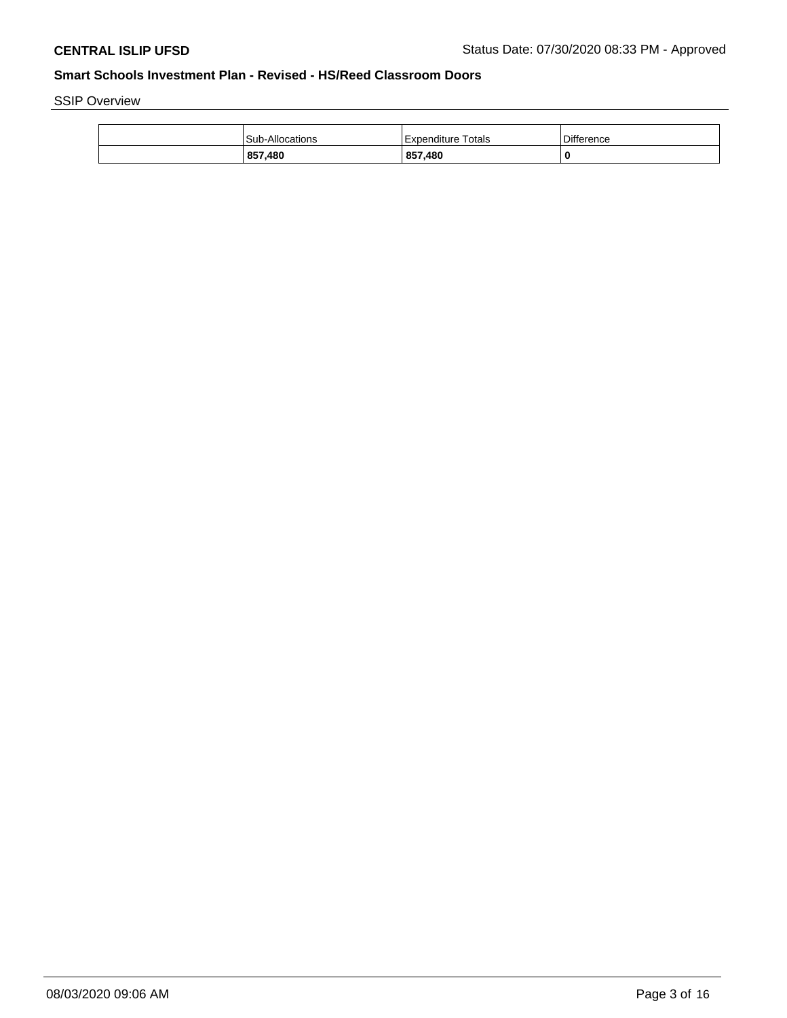SSIP Overview

| 857,480         | 857,480                 | -0                |
|-----------------|-------------------------|-------------------|
| Sub-Allocations | Totals<br>! Expenditure | <b>Difference</b> |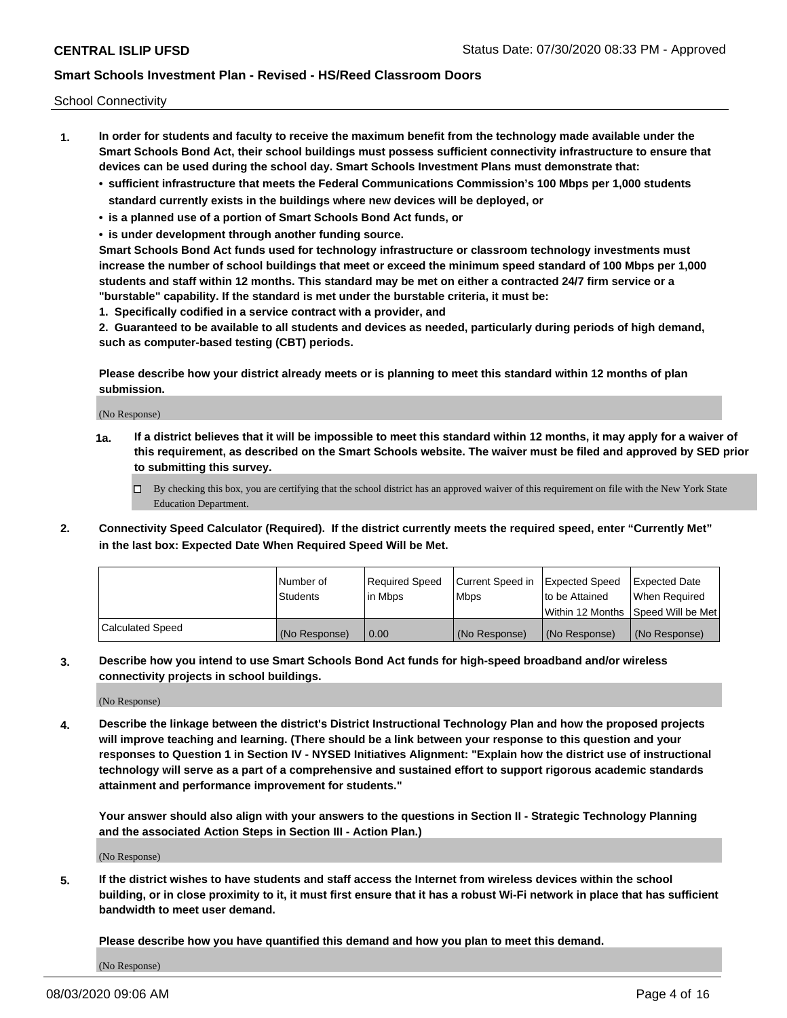School Connectivity

- **1. In order for students and faculty to receive the maximum benefit from the technology made available under the Smart Schools Bond Act, their school buildings must possess sufficient connectivity infrastructure to ensure that devices can be used during the school day. Smart Schools Investment Plans must demonstrate that:**
	- **• sufficient infrastructure that meets the Federal Communications Commission's 100 Mbps per 1,000 students standard currently exists in the buildings where new devices will be deployed, or**
	- **• is a planned use of a portion of Smart Schools Bond Act funds, or**
	- **• is under development through another funding source.**

**Smart Schools Bond Act funds used for technology infrastructure or classroom technology investments must increase the number of school buildings that meet or exceed the minimum speed standard of 100 Mbps per 1,000 students and staff within 12 months. This standard may be met on either a contracted 24/7 firm service or a "burstable" capability. If the standard is met under the burstable criteria, it must be:**

**1. Specifically codified in a service contract with a provider, and**

**2. Guaranteed to be available to all students and devices as needed, particularly during periods of high demand, such as computer-based testing (CBT) periods.**

**Please describe how your district already meets or is planning to meet this standard within 12 months of plan submission.**

(No Response)

**1a. If a district believes that it will be impossible to meet this standard within 12 months, it may apply for a waiver of this requirement, as described on the Smart Schools website. The waiver must be filed and approved by SED prior to submitting this survey.**

 $\Box$  By checking this box, you are certifying that the school district has an approved waiver of this requirement on file with the New York State Education Department.

**2. Connectivity Speed Calculator (Required). If the district currently meets the required speed, enter "Currently Met" in the last box: Expected Date When Required Speed Will be Met.**

|                  | l Number of     | Required Speed | Current Speed in | Expected Speed  | Expected Date                           |
|------------------|-----------------|----------------|------------------|-----------------|-----------------------------------------|
|                  | <b>Students</b> | In Mbps        | l Mbps           | to be Attained  | When Required                           |
|                  |                 |                |                  |                 | l Within 12 Months ISpeed Will be Met l |
| Calculated Speed | (No Response)   | 0.00           | (No Response)    | l (No Response) | l (No Response)                         |

**3. Describe how you intend to use Smart Schools Bond Act funds for high-speed broadband and/or wireless connectivity projects in school buildings.**

(No Response)

**4. Describe the linkage between the district's District Instructional Technology Plan and how the proposed projects will improve teaching and learning. (There should be a link between your response to this question and your responses to Question 1 in Section IV - NYSED Initiatives Alignment: "Explain how the district use of instructional technology will serve as a part of a comprehensive and sustained effort to support rigorous academic standards attainment and performance improvement for students."** 

**Your answer should also align with your answers to the questions in Section II - Strategic Technology Planning and the associated Action Steps in Section III - Action Plan.)**

(No Response)

**5. If the district wishes to have students and staff access the Internet from wireless devices within the school building, or in close proximity to it, it must first ensure that it has a robust Wi-Fi network in place that has sufficient bandwidth to meet user demand.**

**Please describe how you have quantified this demand and how you plan to meet this demand.**

(No Response)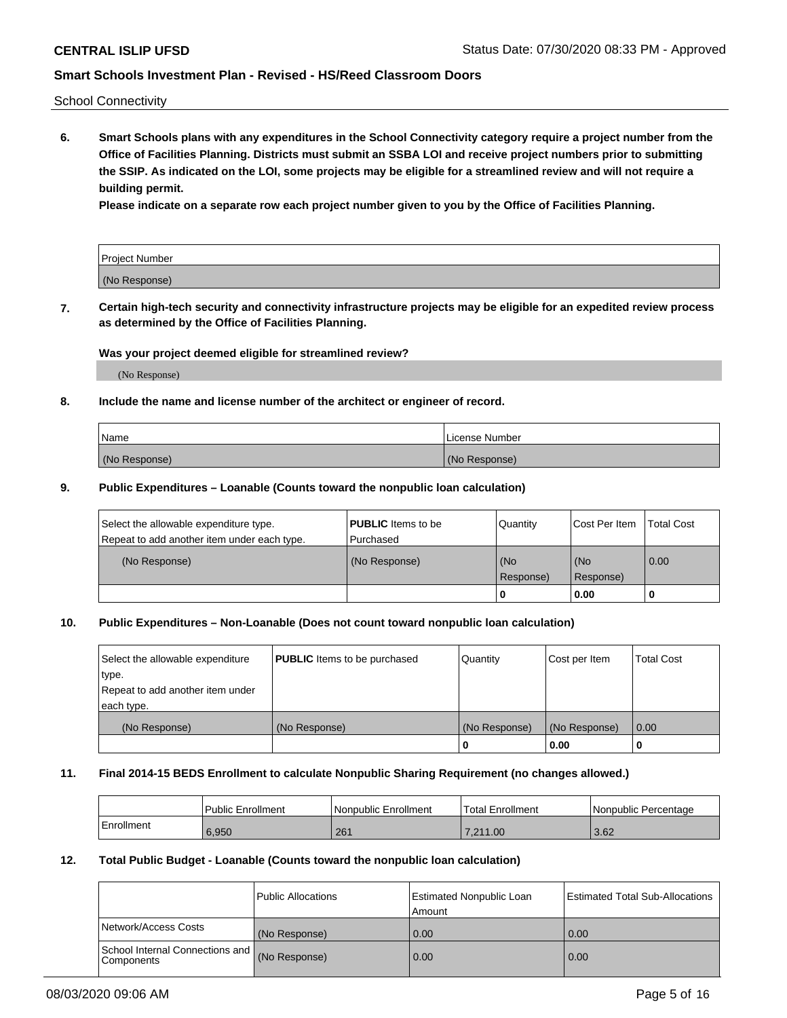School Connectivity

**6. Smart Schools plans with any expenditures in the School Connectivity category require a project number from the Office of Facilities Planning. Districts must submit an SSBA LOI and receive project numbers prior to submitting the SSIP. As indicated on the LOI, some projects may be eligible for a streamlined review and will not require a building permit.**

**Please indicate on a separate row each project number given to you by the Office of Facilities Planning.**

| Project Number |  |
|----------------|--|
| (No Response)  |  |

**7. Certain high-tech security and connectivity infrastructure projects may be eligible for an expedited review process as determined by the Office of Facilities Planning.**

## **Was your project deemed eligible for streamlined review?**

(No Response)

## **8. Include the name and license number of the architect or engineer of record.**

| Name          | License Number |
|---------------|----------------|
| (No Response) | (No Response)  |

#### **9. Public Expenditures – Loanable (Counts toward the nonpublic loan calculation)**

| Select the allowable expenditure type.<br>Repeat to add another item under each type. | <b>PUBLIC</b> Items to be<br>l Purchased | Quantity         | l Cost Per Item  | <b>Total Cost</b> |
|---------------------------------------------------------------------------------------|------------------------------------------|------------------|------------------|-------------------|
| (No Response)                                                                         | (No Response)                            | (No<br>Response) | (No<br>Response) | 0.00              |
|                                                                                       |                                          | 0                | 0.00             |                   |

## **10. Public Expenditures – Non-Loanable (Does not count toward nonpublic loan calculation)**

| Select the allowable expenditure<br>type.<br>Repeat to add another item under<br>each type. | <b>PUBLIC</b> Items to be purchased | Quantity      | Cost per Item | <b>Total Cost</b> |
|---------------------------------------------------------------------------------------------|-------------------------------------|---------------|---------------|-------------------|
| (No Response)                                                                               | (No Response)                       | (No Response) | (No Response) | 0.00              |
|                                                                                             |                                     |               | 0.00          |                   |

#### **11. Final 2014-15 BEDS Enrollment to calculate Nonpublic Sharing Requirement (no changes allowed.)**

|            | Public Enrollment | l Nonpublic Enrollment | <b>Total Enrollment</b> | Nonpublic Percentage |
|------------|-------------------|------------------------|-------------------------|----------------------|
| Enrollment | 6.950             | 261                    | 7.211.00                | 3.62                 |

### **12. Total Public Budget - Loanable (Counts toward the nonpublic loan calculation)**

|                                                      | Public Allocations | <b>Estimated Nonpublic Loan</b><br>Amount | Estimated Total Sub-Allocations |
|------------------------------------------------------|--------------------|-------------------------------------------|---------------------------------|
| Network/Access Costs                                 | (No Response)      | 0.00                                      | 0.00                            |
| School Internal Connections and<br><b>Components</b> | (No Response)      | 0.00                                      | 0.00                            |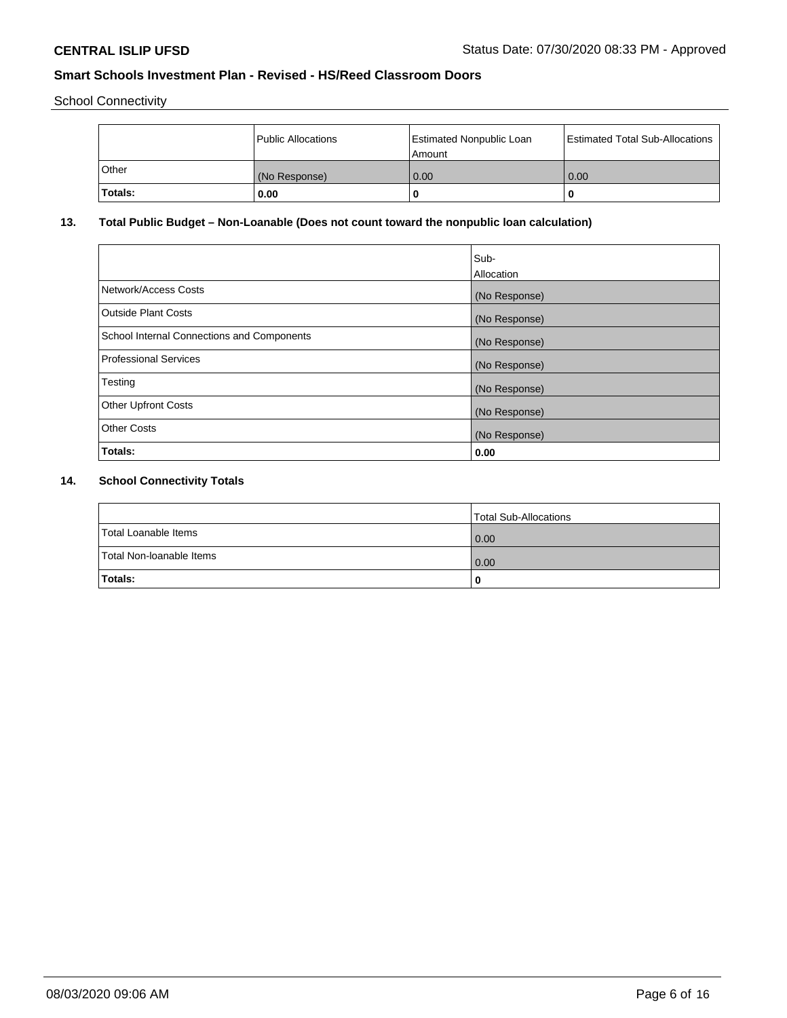School Connectivity

|                | Public Allocations | <b>Estimated Nonpublic Loan</b><br>l Amount | <b>Estimated Total Sub-Allocations</b> |
|----------------|--------------------|---------------------------------------------|----------------------------------------|
| <b>Other</b>   | (No Response)      | 0.00                                        | 0.00                                   |
| <b>Totals:</b> | 0.00               | 0                                           |                                        |

# **13. Total Public Budget – Non-Loanable (Does not count toward the nonpublic loan calculation)**

| Sub-<br>Allocation |
|--------------------|
| (No Response)      |
| (No Response)      |
| (No Response)      |
| (No Response)      |
| (No Response)      |
| (No Response)      |
| (No Response)      |
| 0.00               |
|                    |

# **14. School Connectivity Totals**

|                          | Total Sub-Allocations |
|--------------------------|-----------------------|
| Total Loanable Items     | 0.00                  |
| Total Non-Ioanable Items | 0.00                  |
| Totals:                  | 0                     |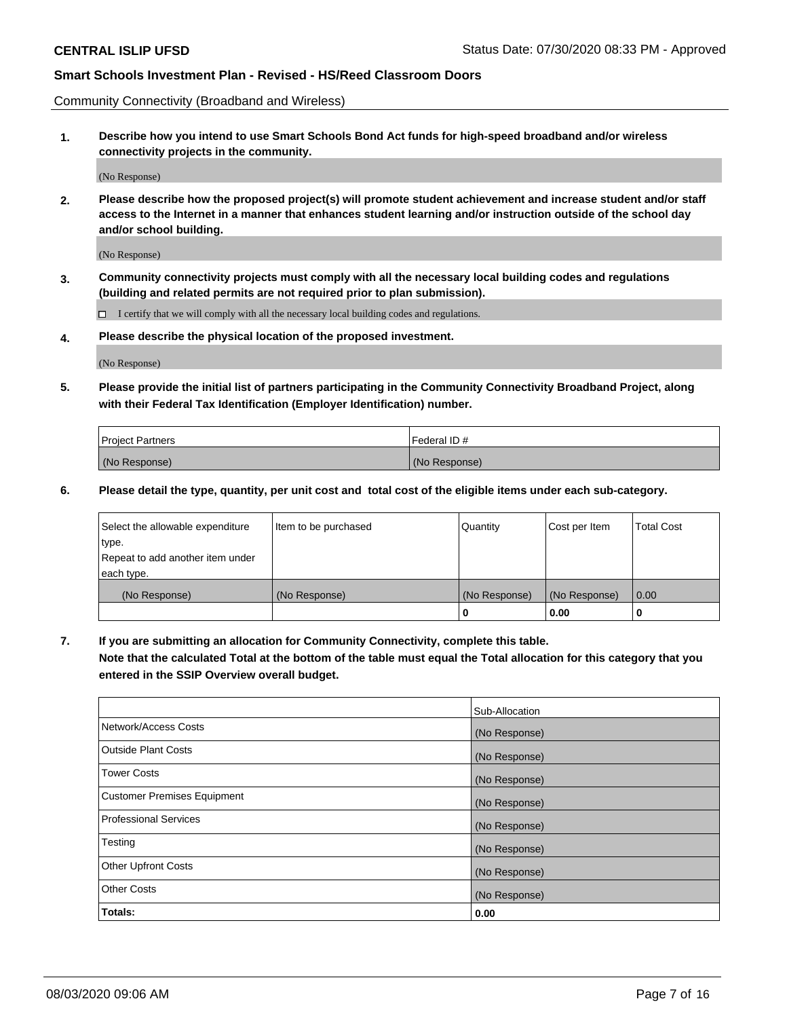Community Connectivity (Broadband and Wireless)

**1. Describe how you intend to use Smart Schools Bond Act funds for high-speed broadband and/or wireless connectivity projects in the community.**

(No Response)

**2. Please describe how the proposed project(s) will promote student achievement and increase student and/or staff access to the Internet in a manner that enhances student learning and/or instruction outside of the school day and/or school building.**

(No Response)

**3. Community connectivity projects must comply with all the necessary local building codes and regulations (building and related permits are not required prior to plan submission).**

 $\Box$  I certify that we will comply with all the necessary local building codes and regulations.

**4. Please describe the physical location of the proposed investment.**

(No Response)

**5. Please provide the initial list of partners participating in the Community Connectivity Broadband Project, along with their Federal Tax Identification (Employer Identification) number.**

| <b>Project Partners</b> | l Federal ID # |
|-------------------------|----------------|
| (No Response)           | (No Response)  |

**6. Please detail the type, quantity, per unit cost and total cost of the eligible items under each sub-category.**

| Select the allowable expenditure | Item to be purchased | Quantity      | Cost per Item | <b>Total Cost</b> |
|----------------------------------|----------------------|---------------|---------------|-------------------|
| type.                            |                      |               |               |                   |
| Repeat to add another item under |                      |               |               |                   |
| each type.                       |                      |               |               |                   |
| (No Response)                    | (No Response)        | (No Response) | (No Response) | 0.00              |
|                                  |                      | o             | 0.00          |                   |

**7. If you are submitting an allocation for Community Connectivity, complete this table.**

**Note that the calculated Total at the bottom of the table must equal the Total allocation for this category that you entered in the SSIP Overview overall budget.**

|                                    | Sub-Allocation |
|------------------------------------|----------------|
| Network/Access Costs               | (No Response)  |
| Outside Plant Costs                | (No Response)  |
| <b>Tower Costs</b>                 | (No Response)  |
| <b>Customer Premises Equipment</b> | (No Response)  |
| <b>Professional Services</b>       | (No Response)  |
| Testing                            | (No Response)  |
| <b>Other Upfront Costs</b>         | (No Response)  |
| <b>Other Costs</b>                 | (No Response)  |
| Totals:                            | 0.00           |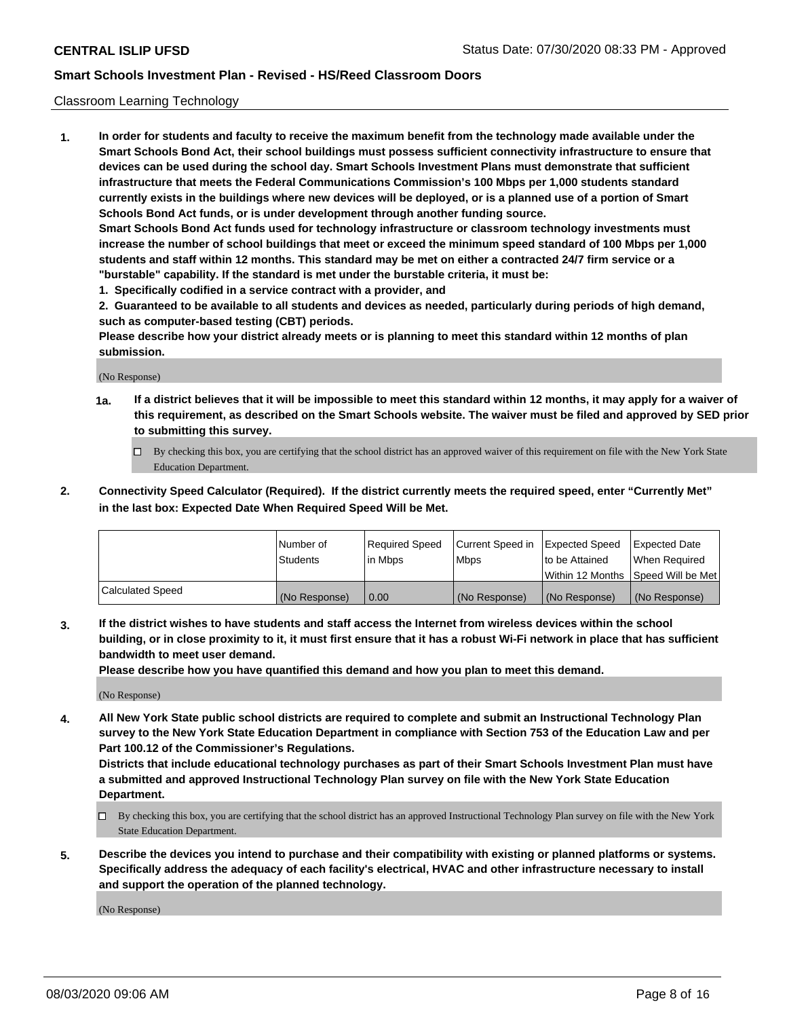### Classroom Learning Technology

**1. In order for students and faculty to receive the maximum benefit from the technology made available under the Smart Schools Bond Act, their school buildings must possess sufficient connectivity infrastructure to ensure that devices can be used during the school day. Smart Schools Investment Plans must demonstrate that sufficient infrastructure that meets the Federal Communications Commission's 100 Mbps per 1,000 students standard currently exists in the buildings where new devices will be deployed, or is a planned use of a portion of Smart Schools Bond Act funds, or is under development through another funding source. Smart Schools Bond Act funds used for technology infrastructure or classroom technology investments must increase the number of school buildings that meet or exceed the minimum speed standard of 100 Mbps per 1,000 students and staff within 12 months. This standard may be met on either a contracted 24/7 firm service or a**

- **"burstable" capability. If the standard is met under the burstable criteria, it must be:**
- **1. Specifically codified in a service contract with a provider, and**

**2. Guaranteed to be available to all students and devices as needed, particularly during periods of high demand, such as computer-based testing (CBT) periods.**

**Please describe how your district already meets or is planning to meet this standard within 12 months of plan submission.**

(No Response)

- **1a. If a district believes that it will be impossible to meet this standard within 12 months, it may apply for a waiver of this requirement, as described on the Smart Schools website. The waiver must be filed and approved by SED prior to submitting this survey.**
	- By checking this box, you are certifying that the school district has an approved waiver of this requirement on file with the New York State Education Department.
- **2. Connectivity Speed Calculator (Required). If the district currently meets the required speed, enter "Currently Met" in the last box: Expected Date When Required Speed Will be Met.**

|                  | l Number of     | Required Speed | Current Speed in | <b>Expected Speed</b> | <b>Expected Date</b>                |
|------------------|-----------------|----------------|------------------|-----------------------|-------------------------------------|
|                  | <b>Students</b> | l in Mbps      | l Mbps           | to be Attained        | When Required                       |
|                  |                 |                |                  |                       | Within 12 Months  Speed Will be Met |
| Calculated Speed | (No Response)   | 0.00           | (No Response)    | l (No Response)       | (No Response)                       |

**3. If the district wishes to have students and staff access the Internet from wireless devices within the school building, or in close proximity to it, it must first ensure that it has a robust Wi-Fi network in place that has sufficient bandwidth to meet user demand.**

**Please describe how you have quantified this demand and how you plan to meet this demand.**

(No Response)

**4. All New York State public school districts are required to complete and submit an Instructional Technology Plan survey to the New York State Education Department in compliance with Section 753 of the Education Law and per Part 100.12 of the Commissioner's Regulations.**

**Districts that include educational technology purchases as part of their Smart Schools Investment Plan must have a submitted and approved Instructional Technology Plan survey on file with the New York State Education Department.**

- By checking this box, you are certifying that the school district has an approved Instructional Technology Plan survey on file with the New York State Education Department.
- **5. Describe the devices you intend to purchase and their compatibility with existing or planned platforms or systems. Specifically address the adequacy of each facility's electrical, HVAC and other infrastructure necessary to install and support the operation of the planned technology.**

(No Response)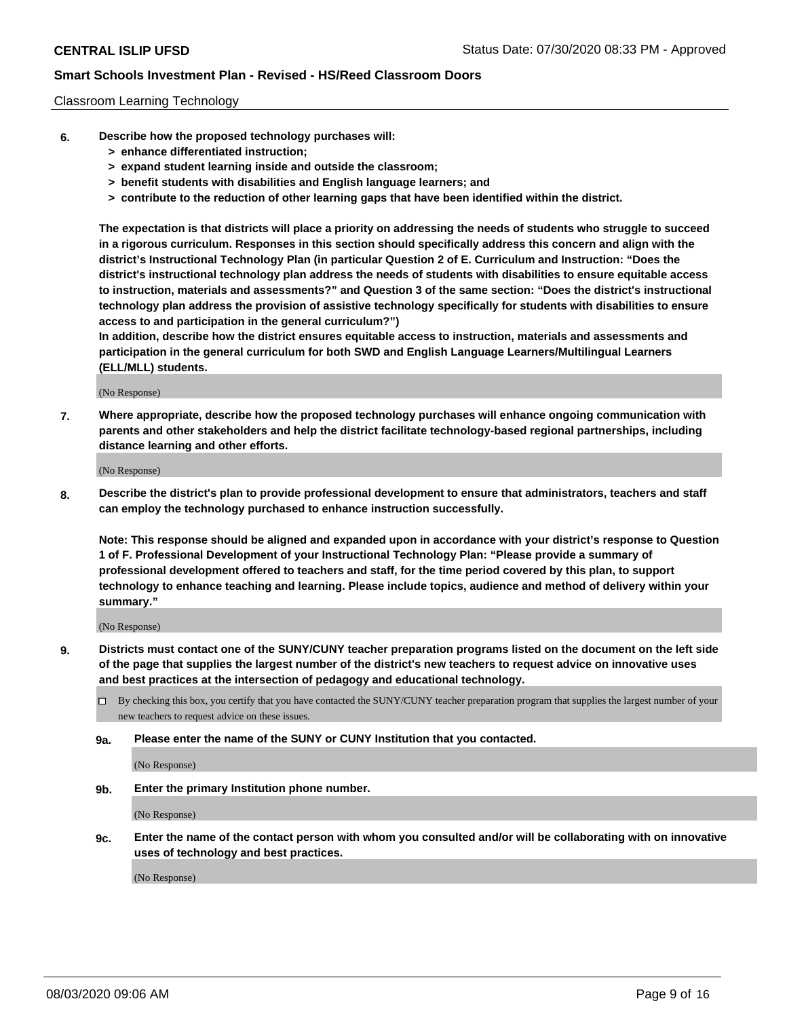#### Classroom Learning Technology

- **6. Describe how the proposed technology purchases will:**
	- **> enhance differentiated instruction;**
	- **> expand student learning inside and outside the classroom;**
	- **> benefit students with disabilities and English language learners; and**
	- **> contribute to the reduction of other learning gaps that have been identified within the district.**

**The expectation is that districts will place a priority on addressing the needs of students who struggle to succeed in a rigorous curriculum. Responses in this section should specifically address this concern and align with the district's Instructional Technology Plan (in particular Question 2 of E. Curriculum and Instruction: "Does the district's instructional technology plan address the needs of students with disabilities to ensure equitable access to instruction, materials and assessments?" and Question 3 of the same section: "Does the district's instructional technology plan address the provision of assistive technology specifically for students with disabilities to ensure access to and participation in the general curriculum?")**

**In addition, describe how the district ensures equitable access to instruction, materials and assessments and participation in the general curriculum for both SWD and English Language Learners/Multilingual Learners (ELL/MLL) students.**

(No Response)

**7. Where appropriate, describe how the proposed technology purchases will enhance ongoing communication with parents and other stakeholders and help the district facilitate technology-based regional partnerships, including distance learning and other efforts.**

(No Response)

**8. Describe the district's plan to provide professional development to ensure that administrators, teachers and staff can employ the technology purchased to enhance instruction successfully.**

**Note: This response should be aligned and expanded upon in accordance with your district's response to Question 1 of F. Professional Development of your Instructional Technology Plan: "Please provide a summary of professional development offered to teachers and staff, for the time period covered by this plan, to support technology to enhance teaching and learning. Please include topics, audience and method of delivery within your summary."**

(No Response)

- **9. Districts must contact one of the SUNY/CUNY teacher preparation programs listed on the document on the left side of the page that supplies the largest number of the district's new teachers to request advice on innovative uses and best practices at the intersection of pedagogy and educational technology.**
	- By checking this box, you certify that you have contacted the SUNY/CUNY teacher preparation program that supplies the largest number of your new teachers to request advice on these issues.
	- **9a. Please enter the name of the SUNY or CUNY Institution that you contacted.**

(No Response)

**9b. Enter the primary Institution phone number.**

(No Response)

**9c. Enter the name of the contact person with whom you consulted and/or will be collaborating with on innovative uses of technology and best practices.**

(No Response)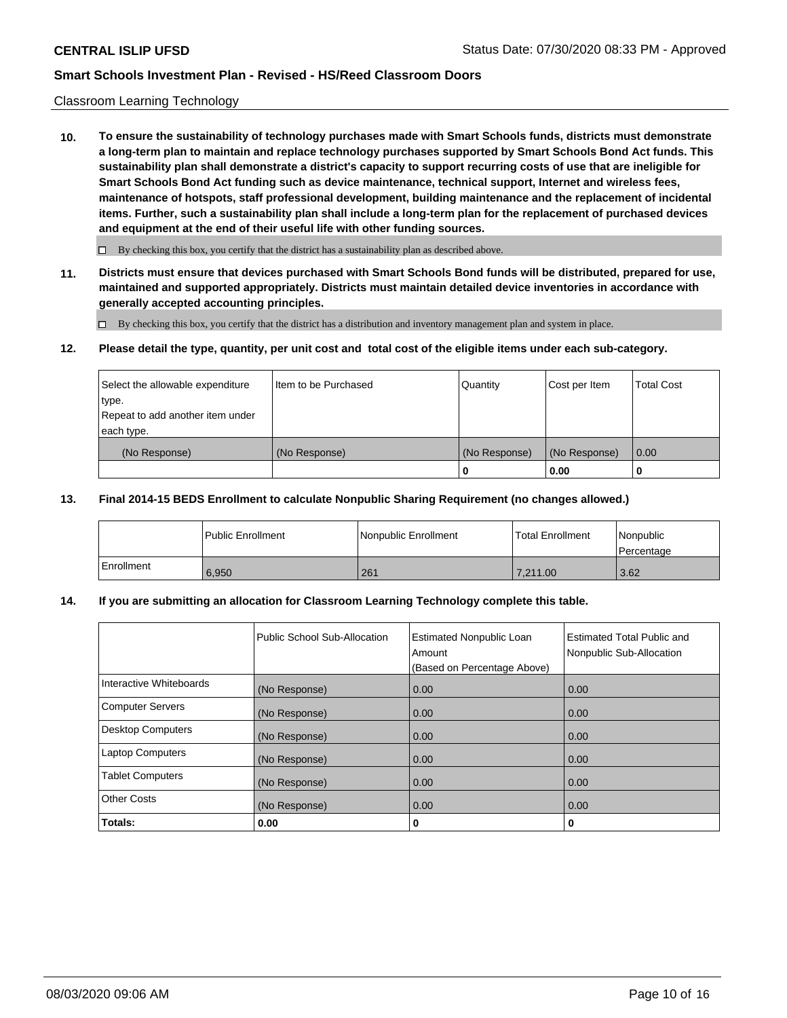#### Classroom Learning Technology

**10. To ensure the sustainability of technology purchases made with Smart Schools funds, districts must demonstrate a long-term plan to maintain and replace technology purchases supported by Smart Schools Bond Act funds. This sustainability plan shall demonstrate a district's capacity to support recurring costs of use that are ineligible for Smart Schools Bond Act funding such as device maintenance, technical support, Internet and wireless fees, maintenance of hotspots, staff professional development, building maintenance and the replacement of incidental items. Further, such a sustainability plan shall include a long-term plan for the replacement of purchased devices and equipment at the end of their useful life with other funding sources.**

 $\Box$  By checking this box, you certify that the district has a sustainability plan as described above.

**11. Districts must ensure that devices purchased with Smart Schools Bond funds will be distributed, prepared for use, maintained and supported appropriately. Districts must maintain detailed device inventories in accordance with generally accepted accounting principles.**

By checking this box, you certify that the district has a distribution and inventory management plan and system in place.

#### **12. Please detail the type, quantity, per unit cost and total cost of the eligible items under each sub-category.**

| Select the allowable expenditure<br>type.<br>Repeat to add another item under | Item to be Purchased | Quantity      | Cost per Item | <b>Total Cost</b> |
|-------------------------------------------------------------------------------|----------------------|---------------|---------------|-------------------|
| each type.<br>(No Response)                                                   | (No Response)        | (No Response) | (No Response) | 0.00              |
|                                                                               |                      | 0             | 0.00          |                   |

#### **13. Final 2014-15 BEDS Enrollment to calculate Nonpublic Sharing Requirement (no changes allowed.)**

|            | l Public Enrollment | <b>INonpublic Enrollment</b> | <b>Total Enrollment</b> | Nonpublic<br>l Percentage |
|------------|---------------------|------------------------------|-------------------------|---------------------------|
| Enrollment | 6.950               | 261                          | 7.211.00                | 3.62                      |

## **14. If you are submitting an allocation for Classroom Learning Technology complete this table.**

|                         | Public School Sub-Allocation | <b>Estimated Nonpublic Loan</b><br>Amount<br>(Based on Percentage Above) | Estimated Total Public and<br>Nonpublic Sub-Allocation |
|-------------------------|------------------------------|--------------------------------------------------------------------------|--------------------------------------------------------|
| Interactive Whiteboards | (No Response)                | 0.00                                                                     | 0.00                                                   |
| Computer Servers        | (No Response)                | 0.00                                                                     | 0.00                                                   |
| Desktop Computers       | (No Response)                | 0.00                                                                     | 0.00                                                   |
| <b>Laptop Computers</b> | (No Response)                | 0.00                                                                     | 0.00                                                   |
| <b>Tablet Computers</b> | (No Response)                | 0.00                                                                     | 0.00                                                   |
| Other Costs             | (No Response)                | 0.00                                                                     | 0.00                                                   |
| Totals:                 | 0.00                         | 0                                                                        | 0                                                      |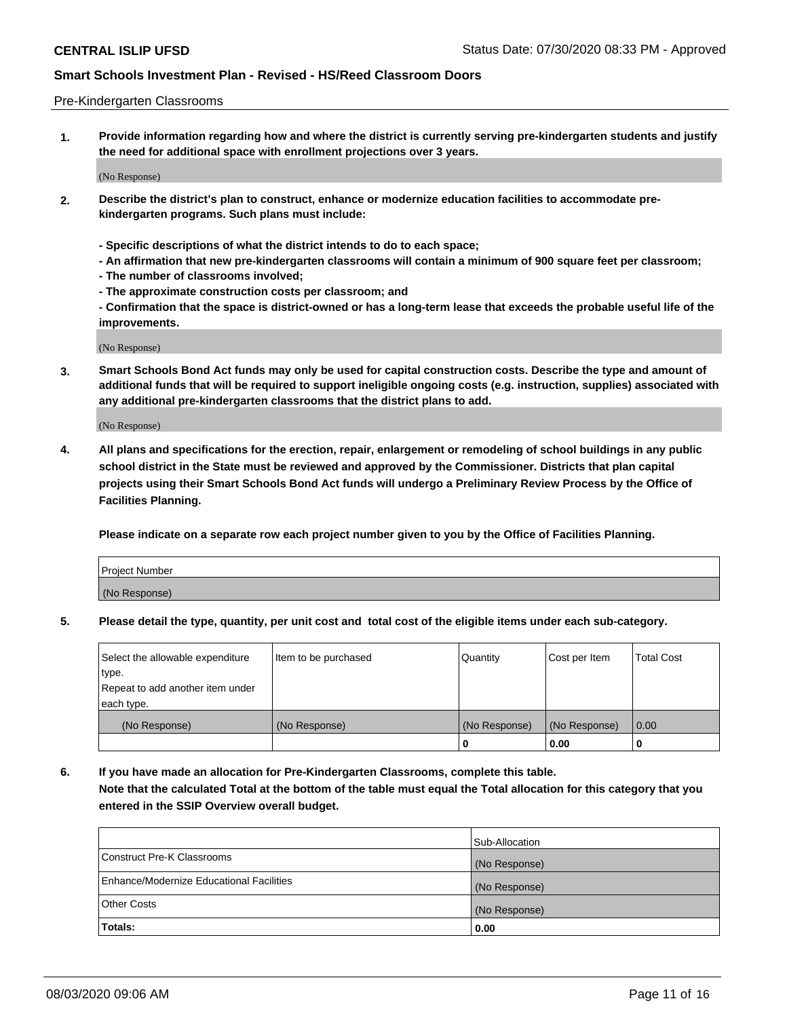#### Pre-Kindergarten Classrooms

**1. Provide information regarding how and where the district is currently serving pre-kindergarten students and justify the need for additional space with enrollment projections over 3 years.**

(No Response)

- **2. Describe the district's plan to construct, enhance or modernize education facilities to accommodate prekindergarten programs. Such plans must include:**
	- **Specific descriptions of what the district intends to do to each space;**
	- **An affirmation that new pre-kindergarten classrooms will contain a minimum of 900 square feet per classroom;**
	- **The number of classrooms involved;**
	- **The approximate construction costs per classroom; and**
	- **Confirmation that the space is district-owned or has a long-term lease that exceeds the probable useful life of the improvements.**

(No Response)

**3. Smart Schools Bond Act funds may only be used for capital construction costs. Describe the type and amount of additional funds that will be required to support ineligible ongoing costs (e.g. instruction, supplies) associated with any additional pre-kindergarten classrooms that the district plans to add.**

(No Response)

**4. All plans and specifications for the erection, repair, enlargement or remodeling of school buildings in any public school district in the State must be reviewed and approved by the Commissioner. Districts that plan capital projects using their Smart Schools Bond Act funds will undergo a Preliminary Review Process by the Office of Facilities Planning.**

**Please indicate on a separate row each project number given to you by the Office of Facilities Planning.**

| Project Number |  |
|----------------|--|
| (No Response)  |  |
|                |  |

**5. Please detail the type, quantity, per unit cost and total cost of the eligible items under each sub-category.**

| Select the allowable expenditure | Item to be purchased | Quantity      | Cost per Item | <b>Total Cost</b> |
|----------------------------------|----------------------|---------------|---------------|-------------------|
| type.                            |                      |               |               |                   |
| Repeat to add another item under |                      |               |               |                   |
| each type.                       |                      |               |               |                   |
| (No Response)                    | (No Response)        | (No Response) | (No Response) | 0.00              |
|                                  |                      | U             | 0.00          |                   |

**6. If you have made an allocation for Pre-Kindergarten Classrooms, complete this table. Note that the calculated Total at the bottom of the table must equal the Total allocation for this category that you entered in the SSIP Overview overall budget.**

|                                          | Sub-Allocation |
|------------------------------------------|----------------|
| Construct Pre-K Classrooms               | (No Response)  |
| Enhance/Modernize Educational Facilities | (No Response)  |
| <b>Other Costs</b>                       | (No Response)  |
| Totals:                                  | 0.00           |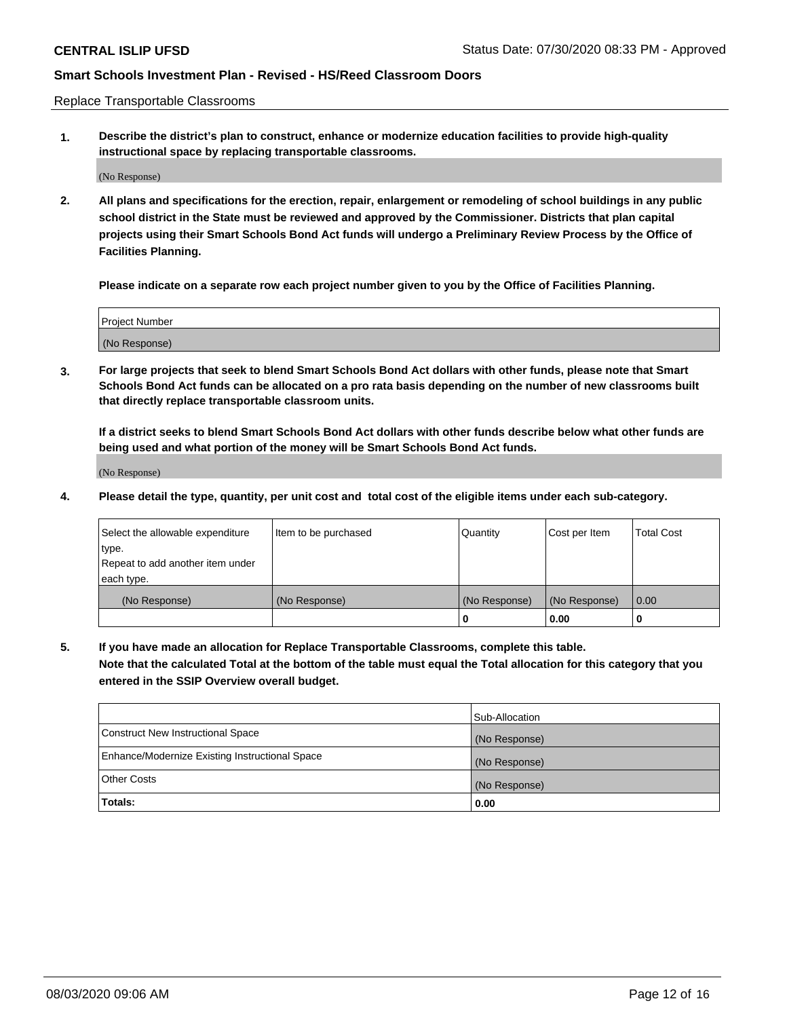Replace Transportable Classrooms

**1. Describe the district's plan to construct, enhance or modernize education facilities to provide high-quality instructional space by replacing transportable classrooms.**

(No Response)

**2. All plans and specifications for the erection, repair, enlargement or remodeling of school buildings in any public school district in the State must be reviewed and approved by the Commissioner. Districts that plan capital projects using their Smart Schools Bond Act funds will undergo a Preliminary Review Process by the Office of Facilities Planning.**

**Please indicate on a separate row each project number given to you by the Office of Facilities Planning.**

| Project Number |  |
|----------------|--|
|                |  |
| (No Response)  |  |

**3. For large projects that seek to blend Smart Schools Bond Act dollars with other funds, please note that Smart Schools Bond Act funds can be allocated on a pro rata basis depending on the number of new classrooms built that directly replace transportable classroom units.**

**If a district seeks to blend Smart Schools Bond Act dollars with other funds describe below what other funds are being used and what portion of the money will be Smart Schools Bond Act funds.**

(No Response)

**4. Please detail the type, quantity, per unit cost and total cost of the eligible items under each sub-category.**

| Select the allowable expenditure | Item to be purchased | Quantity      | Cost per Item | Total Cost |
|----------------------------------|----------------------|---------------|---------------|------------|
| ∣type.                           |                      |               |               |            |
| Repeat to add another item under |                      |               |               |            |
| each type.                       |                      |               |               |            |
| (No Response)                    | (No Response)        | (No Response) | (No Response) | 0.00       |
|                                  |                      | u             | 0.00          |            |

**5. If you have made an allocation for Replace Transportable Classrooms, complete this table. Note that the calculated Total at the bottom of the table must equal the Total allocation for this category that you entered in the SSIP Overview overall budget.**

|                                                | Sub-Allocation |
|------------------------------------------------|----------------|
| Construct New Instructional Space              | (No Response)  |
| Enhance/Modernize Existing Instructional Space | (No Response)  |
| Other Costs                                    | (No Response)  |
| Totals:                                        | 0.00           |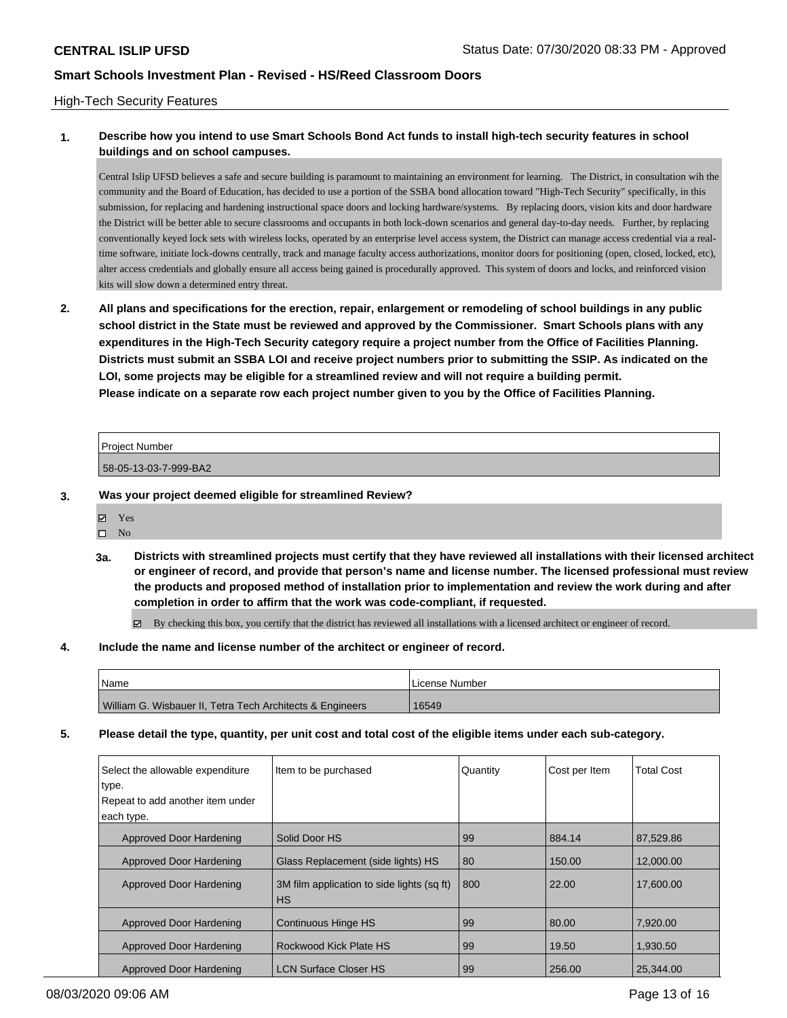### High-Tech Security Features

# **1. Describe how you intend to use Smart Schools Bond Act funds to install high-tech security features in school buildings and on school campuses.**

Central Islip UFSD believes a safe and secure building is paramount to maintaining an environment for learning. The District, in consultation wih the community and the Board of Education, has decided to use a portion of the SSBA bond allocation toward "High-Tech Security" specifically, in this submission, for replacing and hardening instructional space doors and locking hardware/systems. By replacing doors, vision kits and door hardware the District will be better able to secure classrooms and occupants in both lock-down scenarios and general day-to-day needs. Further, by replacing conventionally keyed lock sets with wireless locks, operated by an enterprise level access system, the District can manage access credential via a realtime software, initiate lock-downs centrally, track and manage faculty access authorizations, monitor doors for positioning (open, closed, locked, etc), alter access credentials and globally ensure all access being gained is procedurally approved. This system of doors and locks, and reinforced vision kits will slow down a determined entry threat.

**2. All plans and specifications for the erection, repair, enlargement or remodeling of school buildings in any public school district in the State must be reviewed and approved by the Commissioner. Smart Schools plans with any expenditures in the High-Tech Security category require a project number from the Office of Facilities Planning. Districts must submit an SSBA LOI and receive project numbers prior to submitting the SSIP. As indicated on the LOI, some projects may be eligible for a streamlined review and will not require a building permit. Please indicate on a separate row each project number given to you by the Office of Facilities Planning.**

| Project Number        |  |
|-----------------------|--|
| 58-05-13-03-7-999-BA2 |  |

- **3. Was your project deemed eligible for streamlined Review?**
	- Yes
	- $\square$  No
	- **3a. Districts with streamlined projects must certify that they have reviewed all installations with their licensed architect or engineer of record, and provide that person's name and license number. The licensed professional must review the products and proposed method of installation prior to implementation and review the work during and after completion in order to affirm that the work was code-compliant, if requested.**

By checking this box, you certify that the district has reviewed all installations with a licensed architect or engineer of record.

#### **4. Include the name and license number of the architect or engineer of record.**

| <b>Name</b>                                               | License Number |
|-----------------------------------------------------------|----------------|
| William G. Wisbauer II, Tetra Tech Architects & Engineers | 16549          |

### **5. Please detail the type, quantity, per unit cost and total cost of the eligible items under each sub-category.**

| Select the allowable expenditure<br>type. | Item to be purchased                                    | Quantity | Cost per Item | <b>Total Cost</b> |
|-------------------------------------------|---------------------------------------------------------|----------|---------------|-------------------|
| Repeat to add another item under          |                                                         |          |               |                   |
| each type.                                |                                                         |          |               |                   |
| Approved Door Hardening                   | Solid Door HS                                           | 99       | 884.14        | 87.529.86         |
| <b>Approved Door Hardening</b>            | Glass Replacement (side lights) HS                      | 80       | 150.00        | 12,000.00         |
| Approved Door Hardening                   | 3M film application to side lights (sq ft)<br><b>HS</b> | 800      | 22.00         | 17.600.00         |
| Approved Door Hardening                   | <b>Continuous Hinge HS</b>                              | 99       | 80.00         | 7.920.00          |
| Approved Door Hardening                   | Rockwood Kick Plate HS                                  | 99       | 19.50         | 1.930.50          |
| Approved Door Hardening                   | LCN Surface Closer HS                                   | 99       | 256.00        | 25.344.00         |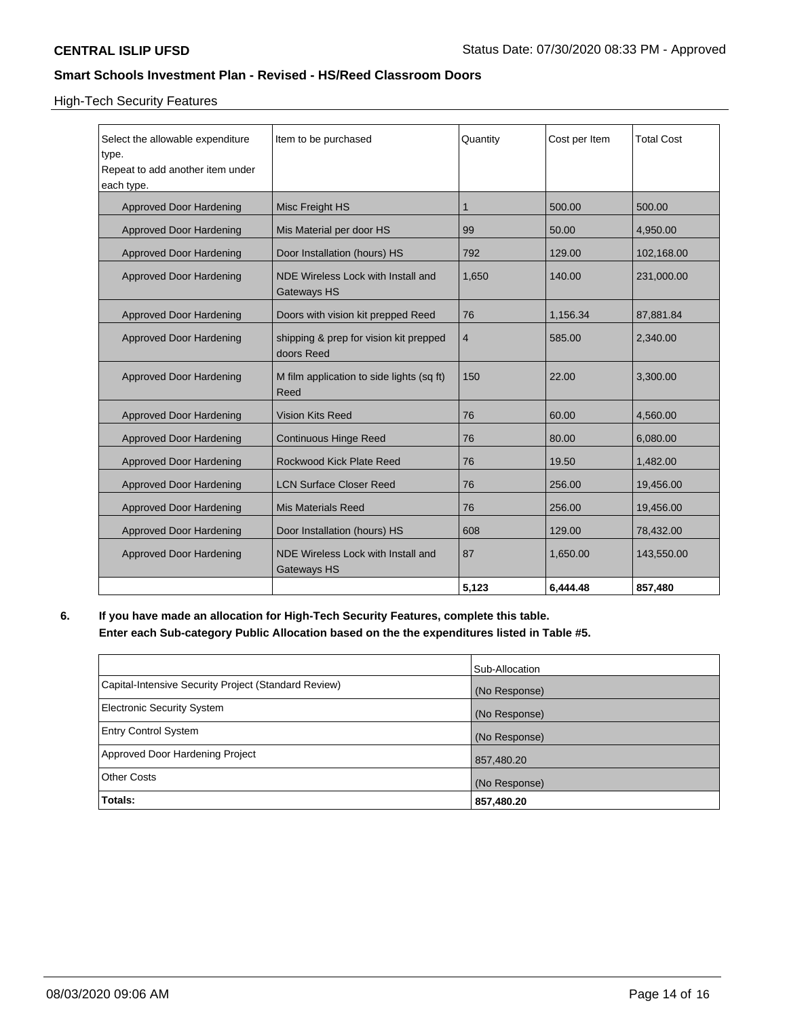# High-Tech Security Features

| Select the allowable expenditure<br>type.<br>Repeat to add another item under<br>each type. | Item to be purchased                                     | Quantity       | Cost per Item | <b>Total Cost</b> |
|---------------------------------------------------------------------------------------------|----------------------------------------------------------|----------------|---------------|-------------------|
| Approved Door Hardening                                                                     | Misc Freight HS                                          | 1              | 500.00        | 500.00            |
| <b>Approved Door Hardening</b>                                                              | Mis Material per door HS                                 | 99             | 50.00         | 4,950.00          |
| <b>Approved Door Hardening</b>                                                              | Door Installation (hours) HS                             | 792            | 129.00        | 102,168.00        |
| <b>Approved Door Hardening</b>                                                              | NDE Wireless Lock with Install and<br><b>Gateways HS</b> | 1,650          | 140.00        | 231,000.00        |
| Approved Door Hardening                                                                     | Doors with vision kit prepped Reed                       | 76             | 1,156.34      | 87,881.84         |
| <b>Approved Door Hardening</b>                                                              | shipping & prep for vision kit prepped<br>doors Reed     | $\overline{4}$ | 585.00        | 2,340.00          |
| <b>Approved Door Hardening</b>                                                              | M film application to side lights (sq ft)<br>Reed        | 150            | 22.00         | 3,300.00          |
| Approved Door Hardening                                                                     | <b>Vision Kits Reed</b>                                  | 76             | 60.00         | 4,560.00          |
| <b>Approved Door Hardening</b>                                                              | <b>Continuous Hinge Reed</b>                             | 76             | 80.00         | 6,080.00          |
| <b>Approved Door Hardening</b>                                                              | Rockwood Kick Plate Reed                                 | 76             | 19.50         | 1,482.00          |
| <b>Approved Door Hardening</b>                                                              | <b>LCN Surface Closer Reed</b>                           | 76             | 256.00        | 19,456.00         |
| <b>Approved Door Hardening</b>                                                              | <b>Mis Materials Reed</b>                                | 76             | 256.00        | 19,456.00         |
| <b>Approved Door Hardening</b>                                                              | Door Installation (hours) HS                             | 608            | 129.00        | 78,432.00         |
| <b>Approved Door Hardening</b>                                                              | NDE Wireless Lock with Install and<br><b>Gateways HS</b> | 87             | 1,650.00      | 143,550.00        |
|                                                                                             |                                                          | 5,123          | 6.444.48      | 857,480           |

**6. If you have made an allocation for High-Tech Security Features, complete this table. Enter each Sub-category Public Allocation based on the the expenditures listed in Table #5.**

|                                                      | Sub-Allocation |
|------------------------------------------------------|----------------|
| Capital-Intensive Security Project (Standard Review) | (No Response)  |
| <b>Electronic Security System</b>                    | (No Response)  |
| <b>Entry Control System</b>                          | (No Response)  |
| Approved Door Hardening Project                      | 857,480.20     |
| <b>Other Costs</b>                                   | (No Response)  |
| Totals:                                              | 857,480.20     |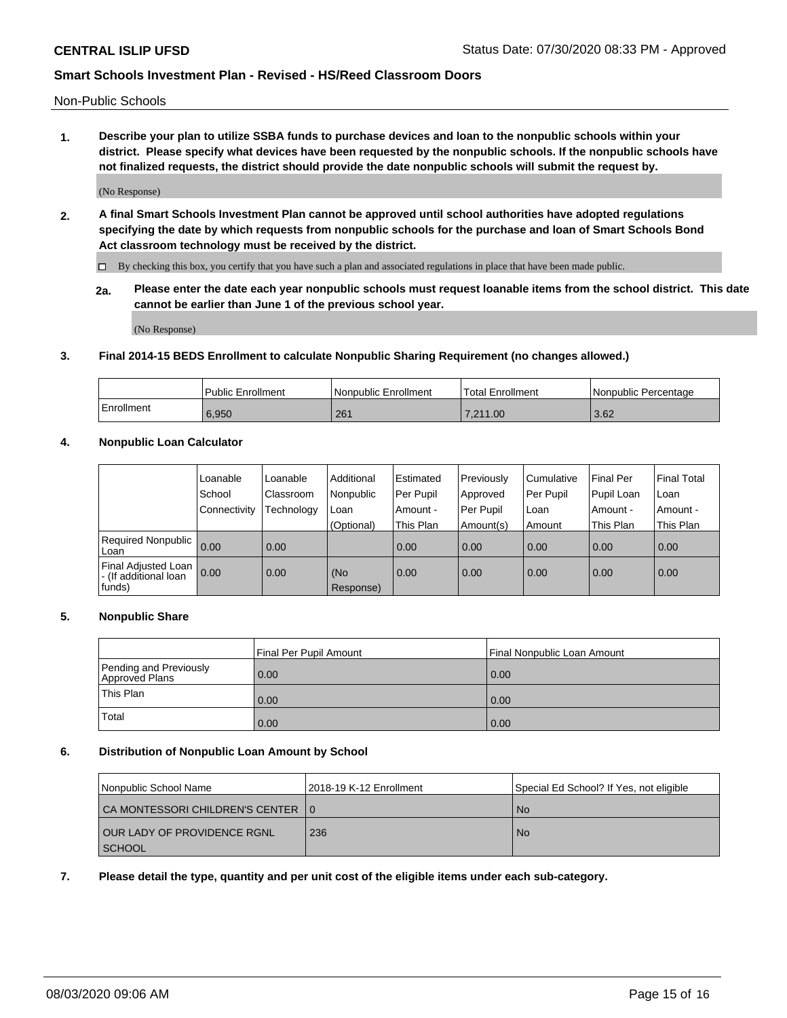Non-Public Schools

**1. Describe your plan to utilize SSBA funds to purchase devices and loan to the nonpublic schools within your district. Please specify what devices have been requested by the nonpublic schools. If the nonpublic schools have not finalized requests, the district should provide the date nonpublic schools will submit the request by.**

(No Response)

**2. A final Smart Schools Investment Plan cannot be approved until school authorities have adopted regulations specifying the date by which requests from nonpublic schools for the purchase and loan of Smart Schools Bond Act classroom technology must be received by the district.**

By checking this box, you certify that you have such a plan and associated regulations in place that have been made public.

**2a. Please enter the date each year nonpublic schools must request loanable items from the school district. This date cannot be earlier than June 1 of the previous school year.**

(No Response)

### **3. Final 2014-15 BEDS Enrollment to calculate Nonpublic Sharing Requirement (no changes allowed.)**

|            | Public Enrollment | Nonpublic Enrollment | 'Total Enrollment | l Nonpublic Percentage |
|------------|-------------------|----------------------|-------------------|------------------------|
| Enrollment | 6,950             | 261                  | 1.00<br>7 211     | 3.62                   |

### **4. Nonpublic Loan Calculator**

|                                                        | Loanable     | Loanable   | Additional       | Estimated   | Previously | Cumulative | Final Per  | <b>Final Total</b> |
|--------------------------------------------------------|--------------|------------|------------------|-------------|------------|------------|------------|--------------------|
|                                                        | School       | Classroom  | Nonpublic        | l Per Pupil | Approved   | Per Pupil  | Pupil Loan | Loan               |
|                                                        | Connectivity | Technology | Loan             | Amount -    | Per Pupil  | Loan       | Amount -   | Amount -           |
|                                                        |              |            | (Optional)       | This Plan   | Amount(s)  | Amount     | This Plan  | This Plan          |
| Required Nonpublic<br>Loan                             | 0.00         | 0.00       |                  | 0.00        | 0.00       | 0.00       | 0.00       | 0.00               |
| Final Adjusted Loan<br>- (If additional loan<br>funds) | 0.00         | 0.00       | (No<br>Response) | 0.00        | 0.00       | 0.00       | 0.00       | 0.00               |

## **5. Nonpublic Share**

|                                          | Final Per Pupil Amount | l Final Nonpublic Loan Amount |
|------------------------------------------|------------------------|-------------------------------|
| Pending and Previously<br>Approved Plans | 0.00                   | 0.00                          |
| <b>This Plan</b>                         | 0.00                   | 0.00                          |
| Total                                    | 0.00                   | 0.00                          |

### **6. Distribution of Nonpublic Loan Amount by School**

| Nonpublic School Name              | 12018-19 K-12 Enrollment | Special Ed School? If Yes, not eligible |
|------------------------------------|--------------------------|-----------------------------------------|
| CA MONTESSORI CHILDREN'S CENTER 10 |                          | No.                                     |
| I OUR LADY OF PROVIDENCE RGNL      | 236                      | No.                                     |
| <b>SCHOOL</b>                      |                          |                                         |

**7. Please detail the type, quantity and per unit cost of the eligible items under each sub-category.**